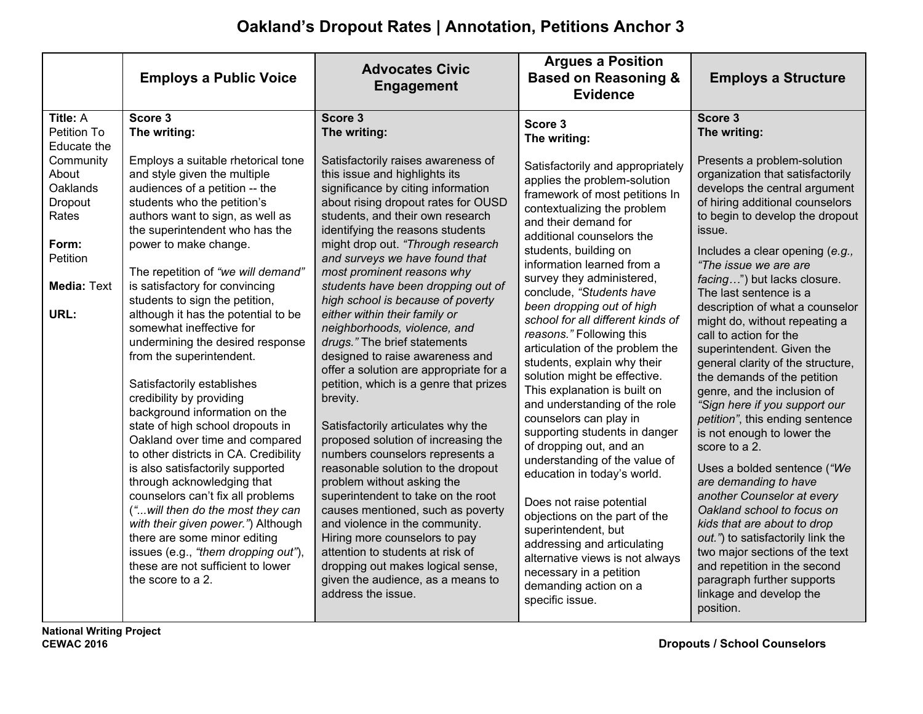## **Oakland's Dropout Rates | Annotation, Petitions Anchor 3**

|                                                                                                                                         | <b>Employs a Public Voice</b>                                                                                                                                                                                                                                                                                                                                                                                                                                                                                                                                                                                                                                | <b>Advocates Civic</b><br><b>Engagement</b>                                                                                                                                                                                                                                                                                                                                                                                                                                                                                                                                                                                                                                                            | <b>Argues a Position</b><br><b>Based on Reasoning &amp;</b><br><b>Evidence</b>                                                                                                                                                                                                                                                                                                                                                                                                                                                                                                                                                                                                                                                                                                                                                                                                                                                                                                        | <b>Employs a Structure</b>                                                                                                                                                                                                                                                                                                                                                                                                                                                                                                                                                                                                                                                                                                                                                                                                                                                                                                                                                                                        |
|-----------------------------------------------------------------------------------------------------------------------------------------|--------------------------------------------------------------------------------------------------------------------------------------------------------------------------------------------------------------------------------------------------------------------------------------------------------------------------------------------------------------------------------------------------------------------------------------------------------------------------------------------------------------------------------------------------------------------------------------------------------------------------------------------------------------|--------------------------------------------------------------------------------------------------------------------------------------------------------------------------------------------------------------------------------------------------------------------------------------------------------------------------------------------------------------------------------------------------------------------------------------------------------------------------------------------------------------------------------------------------------------------------------------------------------------------------------------------------------------------------------------------------------|---------------------------------------------------------------------------------------------------------------------------------------------------------------------------------------------------------------------------------------------------------------------------------------------------------------------------------------------------------------------------------------------------------------------------------------------------------------------------------------------------------------------------------------------------------------------------------------------------------------------------------------------------------------------------------------------------------------------------------------------------------------------------------------------------------------------------------------------------------------------------------------------------------------------------------------------------------------------------------------|-------------------------------------------------------------------------------------------------------------------------------------------------------------------------------------------------------------------------------------------------------------------------------------------------------------------------------------------------------------------------------------------------------------------------------------------------------------------------------------------------------------------------------------------------------------------------------------------------------------------------------------------------------------------------------------------------------------------------------------------------------------------------------------------------------------------------------------------------------------------------------------------------------------------------------------------------------------------------------------------------------------------|
| Title: A<br>Petition To<br>Educate the<br>Community<br>About<br>Oaklands<br>Dropout<br>Rates<br>Form:<br>Petition<br><b>Media: Text</b> | Score 3<br>The writing:<br>Employs a suitable rhetorical tone<br>and style given the multiple<br>audiences of a petition -- the<br>students who the petition's<br>authors want to sign, as well as<br>the superintendent who has the<br>power to make change.<br>The repetition of "we will demand"<br>is satisfactory for convincing<br>students to sign the petition,                                                                                                                                                                                                                                                                                      | Score 3<br>The writing:<br>Satisfactorily raises awareness of<br>this issue and highlights its<br>significance by citing information<br>about rising dropout rates for OUSD<br>students, and their own research<br>identifying the reasons students<br>might drop out. "Through research<br>and surveys we have found that<br>most prominent reasons why<br>students have been dropping out of<br>high school is because of poverty                                                                                                                                                                                                                                                                    | Score 3<br>The writing:<br>Satisfactorily and appropriately<br>applies the problem-solution<br>framework of most petitions In<br>contextualizing the problem<br>and their demand for<br>additional counselors the<br>students, building on<br>information learned from a<br>survey they administered,<br>conclude, "Students have<br>been dropping out of high<br>school for all different kinds of<br>reasons." Following this<br>articulation of the problem the<br>students, explain why their<br>solution might be effective.<br>This explanation is built on<br>and understanding of the role<br>counselors can play in<br>supporting students in danger<br>of dropping out, and an<br>understanding of the value of<br>education in today's world.<br>Does not raise potential<br>objections on the part of the<br>superintendent, but<br>addressing and articulating<br>alternative views is not always<br>necessary in a petition<br>demanding action on a<br>specific issue. | Score 3<br>The writing:<br>Presents a problem-solution<br>organization that satisfactorily<br>develops the central argument<br>of hiring additional counselors<br>to begin to develop the dropout<br>issue.<br>Includes a clear opening (e.g.,<br>"The issue we are are<br>facing") but lacks closure.<br>The last sentence is a<br>description of what a counselor<br>might do, without repeating a<br>call to action for the<br>superintendent. Given the<br>general clarity of the structure,<br>the demands of the petition<br>genre, and the inclusion of<br>"Sign here if you support our<br>petition", this ending sentence<br>is not enough to lower the<br>score to a 2.<br>Uses a bolded sentence ("We<br>are demanding to have<br>another Counselor at every<br>Oakland school to focus on<br>kids that are about to drop<br>out.") to satisfactorily link the<br>two major sections of the text<br>and repetition in the second<br>paragraph further supports<br>linkage and develop the<br>position. |
| URL:                                                                                                                                    | although it has the potential to be<br>somewhat ineffective for<br>undermining the desired response<br>from the superintendent.<br>Satisfactorily establishes<br>credibility by providing<br>background information on the<br>state of high school dropouts in<br>Oakland over time and compared<br>to other districts in CA. Credibility<br>is also satisfactorily supported<br>through acknowledging that<br>counselors can't fix all problems<br>(" will then do the most they can<br>with their given power.") Although<br>there are some minor editing<br>issues (e.g., "them dropping out"),<br>these are not sufficient to lower<br>the score to a 2. | either within their family or<br>neighborhoods, violence, and<br>drugs." The brief statements<br>designed to raise awareness and<br>offer a solution are appropriate for a<br>petition, which is a genre that prizes<br>brevity.<br>Satisfactorily articulates why the<br>proposed solution of increasing the<br>numbers counselors represents a<br>reasonable solution to the dropout<br>problem without asking the<br>superintendent to take on the root<br>causes mentioned, such as poverty<br>and violence in the community.<br>Hiring more counselors to pay<br>attention to students at risk of<br>dropping out makes logical sense,<br>given the audience, as a means to<br>address the issue. |                                                                                                                                                                                                                                                                                                                                                                                                                                                                                                                                                                                                                                                                                                                                                                                                                                                                                                                                                                                       |                                                                                                                                                                                                                                                                                                                                                                                                                                                                                                                                                                                                                                                                                                                                                                                                                                                                                                                                                                                                                   |